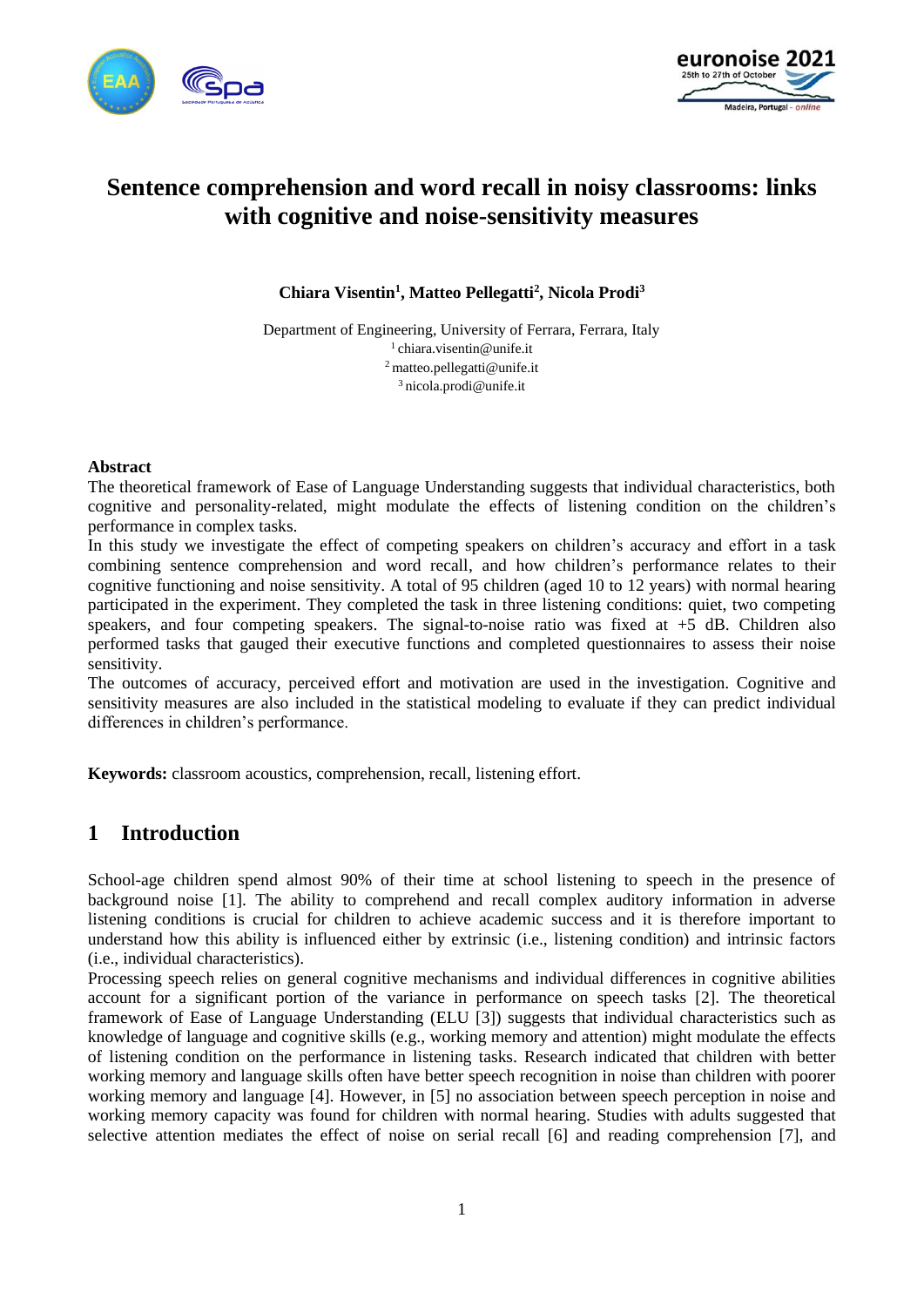



# **Sentence comprehension and word recall in noisy classrooms: links with cognitive and noise-sensitivity measures**

**Chiara Visentin<sup>1</sup> , Matteo Pellegatti<sup>2</sup> , Nicola Prodi<sup>3</sup>**

Department of Engineering, University of Ferrara, Ferrara, Italy chiara.visentin@unife.it matteo.pellegatti@unife.it nicola.prodi@unife.it

#### **Abstract**

The theoretical framework of Ease of Language Understanding suggests that individual characteristics, both cognitive and personality-related, might modulate the effects of listening condition on the children's performance in complex tasks.

In this study we investigate the effect of competing speakers on children's accuracy and effort in a task combining sentence comprehension and word recall, and how children's performance relates to their cognitive functioning and noise sensitivity. A total of 95 children (aged 10 to 12 years) with normal hearing participated in the experiment. They completed the task in three listening conditions: quiet, two competing speakers, and four competing speakers. The signal-to-noise ratio was fixed at +5 dB. Children also performed tasks that gauged their executive functions and completed questionnaires to assess their noise sensitivity.

The outcomes of accuracy, perceived effort and motivation are used in the investigation. Cognitive and sensitivity measures are also included in the statistical modeling to evaluate if they can predict individual differences in children's performance.

**Keywords:** classroom acoustics, comprehension, recall, listening effort.

## **1 Introduction**

School-age children spend almost 90% of their time at school listening to speech in the presence of background noise [1]. The ability to comprehend and recall complex auditory information in adverse listening conditions is crucial for children to achieve academic success and it is therefore important to understand how this ability is influenced either by extrinsic (i.e., listening condition) and intrinsic factors (i.e., individual characteristics).

Processing speech relies on general cognitive mechanisms and individual differences in cognitive abilities account for a significant portion of the variance in performance on speech tasks [2]. The theoretical framework of Ease of Language Understanding (ELU [3]) suggests that individual characteristics such as knowledge of language and cognitive skills (e.g., working memory and attention) might modulate the effects of listening condition on the performance in listening tasks. Research indicated that children with better working memory and language skills often have better speech recognition in noise than children with poorer working memory and language [4]. However, in [5] no association between speech perception in noise and working memory capacity was found for children with normal hearing. Studies with adults suggested that selective attention mediates the effect of noise on serial recall [6] and reading comprehension [7], and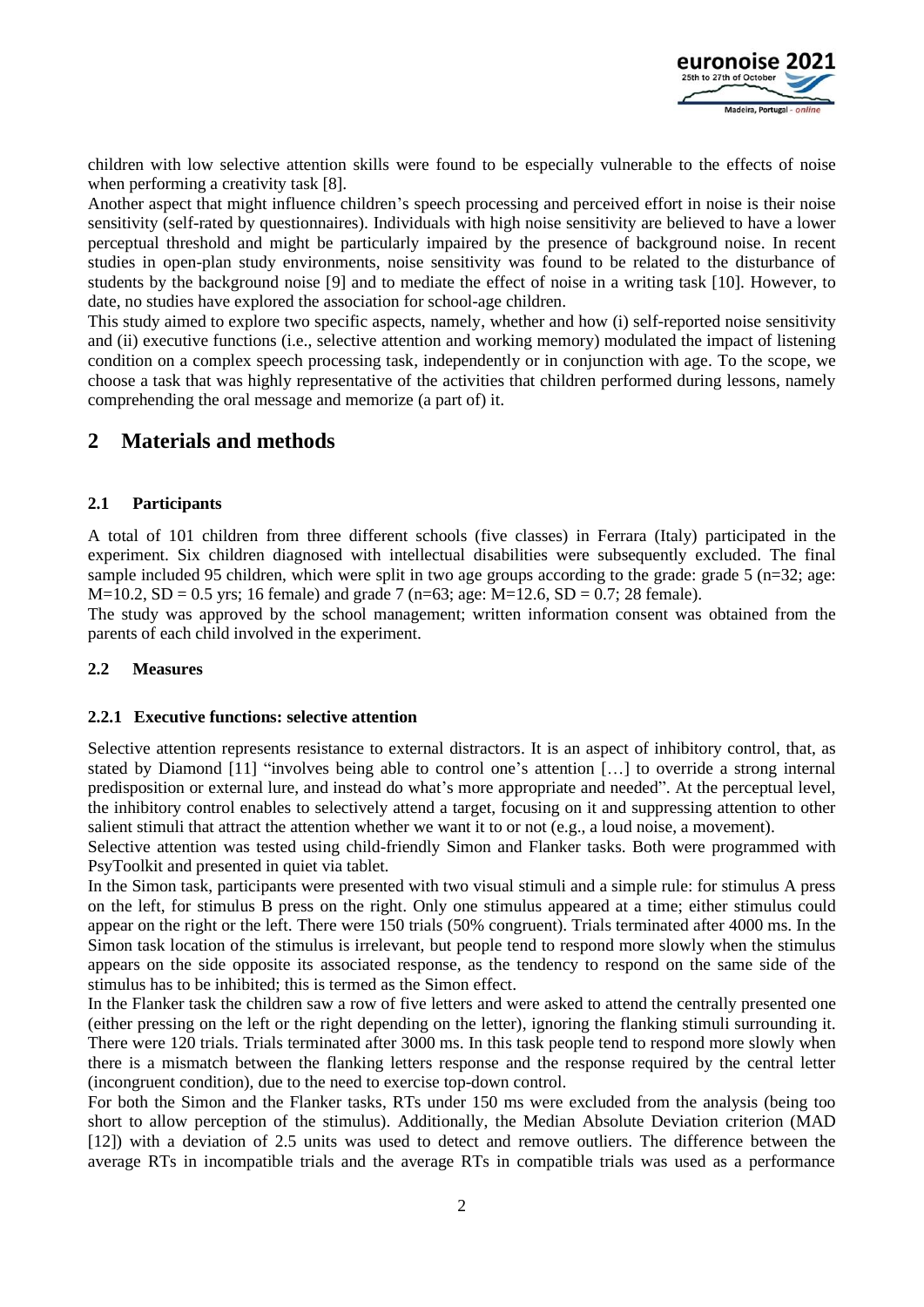

children with low selective attention skills were found to be especially vulnerable to the effects of noise when performing a creativity task [8].

Another aspect that might influence children's speech processing and perceived effort in noise is their noise sensitivity (self-rated by questionnaires). Individuals with high noise sensitivity are believed to have a lower perceptual threshold and might be particularly impaired by the presence of background noise. In recent studies in open-plan study environments, noise sensitivity was found to be related to the disturbance of students by the background noise [9] and to mediate the effect of noise in a writing task [10]. However, to date, no studies have explored the association for school-age children.

This study aimed to explore two specific aspects, namely, whether and how (i) self-reported noise sensitivity and (ii) executive functions (i.e., selective attention and working memory) modulated the impact of listening condition on a complex speech processing task, independently or in conjunction with age. To the scope, we choose a task that was highly representative of the activities that children performed during lessons, namely comprehending the oral message and memorize (a part of) it.

### **2 Materials and methods**

#### **2.1 Participants**

A total of 101 children from three different schools (five classes) in Ferrara (Italy) participated in the experiment. Six children diagnosed with intellectual disabilities were subsequently excluded. The final sample included 95 children, which were split in two age groups according to the grade: grade 5 ( $n=32$ ; age:  $M=10.2$ ,  $SD = 0.5$  yrs; 16 female) and grade 7 (n=63; age:  $M=12.6$ ,  $SD = 0.7$ ; 28 female).

The study was approved by the school management; written information consent was obtained from the parents of each child involved in the experiment.

#### **2.2 Measures**

#### **2.2.1 Executive functions: selective attention**

Selective attention represents resistance to external distractors. It is an aspect of inhibitory control, that, as stated by Diamond [11] "involves being able to control one's attention […] to override a strong internal predisposition or external lure, and instead do what's more appropriate and needed". At the perceptual level, the inhibitory control enables to selectively attend a target, focusing on it and suppressing attention to other salient stimuli that attract the attention whether we want it to or not (e.g., a loud noise, a movement).

Selective attention was tested using child-friendly Simon and Flanker tasks. Both were programmed with PsyToolkit and presented in quiet via tablet.

In the Simon task, participants were presented with two visual stimuli and a simple rule: for stimulus A press on the left, for stimulus B press on the right. Only one stimulus appeared at a time; either stimulus could appear on the right or the left. There were 150 trials (50% congruent). Trials terminated after 4000 ms. In the Simon task location of the stimulus is irrelevant, but people tend to respond more slowly when the stimulus appears on the side opposite its associated response, as the tendency to respond on the same side of the stimulus has to be inhibited; this is termed as the Simon effect.

In the Flanker task the children saw a row of five letters and were asked to attend the centrally presented one (either pressing on the left or the right depending on the letter), ignoring the flanking stimuli surrounding it. There were 120 trials. Trials terminated after 3000 ms. In this task people tend to respond more slowly when there is a mismatch between the flanking letters response and the response required by the central letter (incongruent condition), due to the need to exercise top-down control.

For both the Simon and the Flanker tasks, RTs under 150 ms were excluded from the analysis (being too short to allow perception of the stimulus). Additionally, the Median Absolute Deviation criterion (MAD [12]) with a deviation of 2.5 units was used to detect and remove outliers. The difference between the average RTs in incompatible trials and the average RTs in compatible trials was used as a performance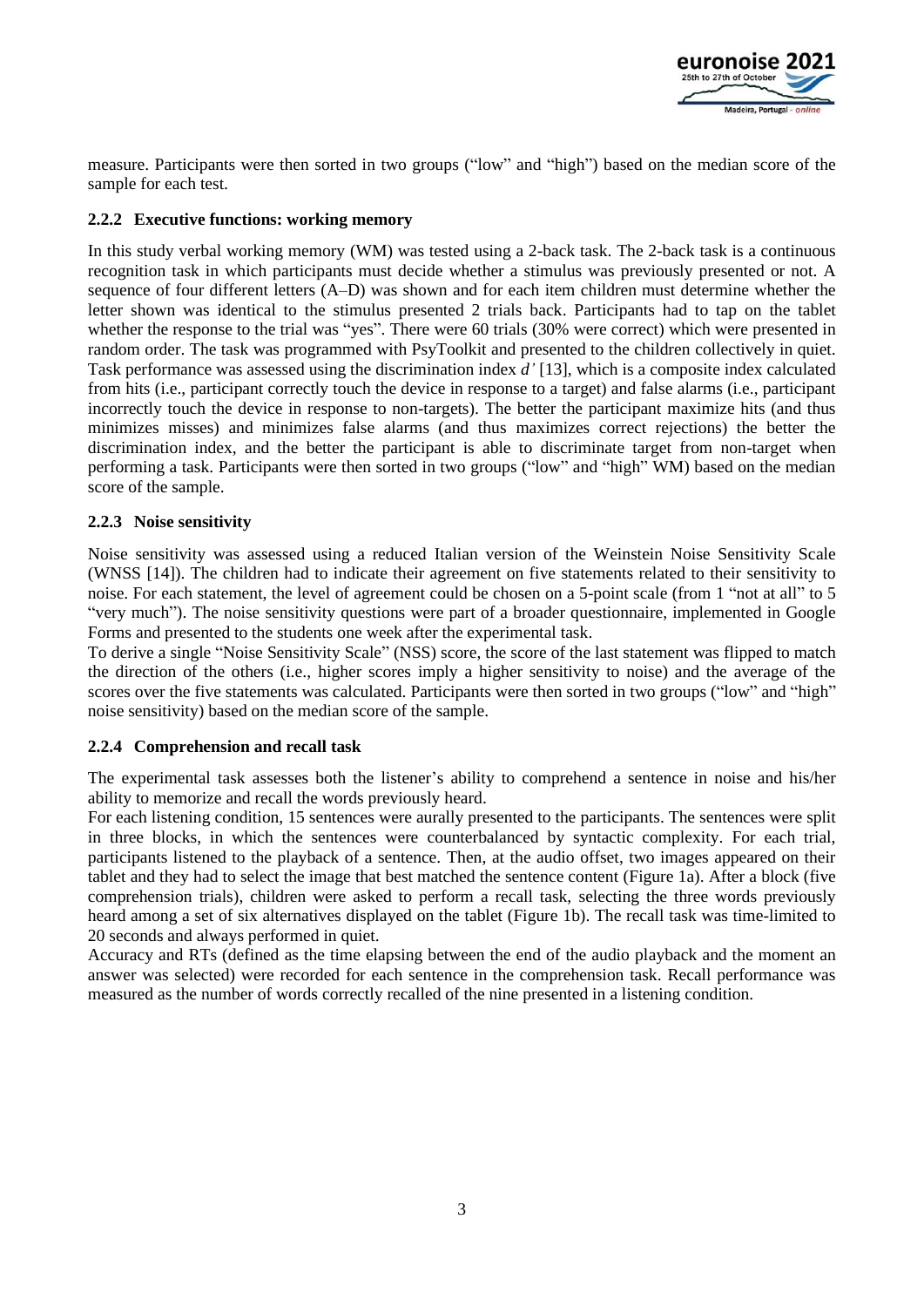

measure. Participants were then sorted in two groups ("low" and "high") based on the median score of the sample for each test.

#### **2.2.2 Executive functions: working memory**

In this study verbal working memory (WM) was tested using a 2-back task. The 2-back task is a continuous recognition task in which participants must decide whether a stimulus was previously presented or not. A sequence of four different letters (A–D) was shown and for each item children must determine whether the letter shown was identical to the stimulus presented 2 trials back. Participants had to tap on the tablet whether the response to the trial was "yes". There were 60 trials (30% were correct) which were presented in random order. The task was programmed with PsyToolkit and presented to the children collectively in quiet. Task performance was assessed using the discrimination index *d'* [13], which is a composite index calculated from hits (i.e., participant correctly touch the device in response to a target) and false alarms (i.e., participant incorrectly touch the device in response to non-targets). The better the participant maximize hits (and thus minimizes misses) and minimizes false alarms (and thus maximizes correct rejections) the better the discrimination index, and the better the participant is able to discriminate target from non-target when performing a task. Participants were then sorted in two groups ("low" and "high" WM) based on the median score of the sample.

#### **2.2.3 Noise sensitivity**

Noise sensitivity was assessed using a reduced Italian version of the Weinstein Noise Sensitivity Scale (WNSS [14]). The children had to indicate their agreement on five statements related to their sensitivity to noise. For each statement, the level of agreement could be chosen on a 5-point scale (from 1 "not at all" to 5 "very much"). The noise sensitivity questions were part of a broader questionnaire, implemented in Google Forms and presented to the students one week after the experimental task.

To derive a single "Noise Sensitivity Scale" (NSS) score, the score of the last statement was flipped to match the direction of the others (i.e., higher scores imply a higher sensitivity to noise) and the average of the scores over the five statements was calculated. Participants were then sorted in two groups ("low" and "high" noise sensitivity) based on the median score of the sample.

#### **2.2.4 Comprehension and recall task**

The experimental task assesses both the listener's ability to comprehend a sentence in noise and his/her ability to memorize and recall the words previously heard.

For each listening condition, 15 sentences were aurally presented to the participants. The sentences were split in three blocks, in which the sentences were counterbalanced by syntactic complexity. For each trial, participants listened to the playback of a sentence. Then, at the audio offset, two images appeared on their tablet and they had to select the image that best matched the sentence content (Figure 1a). After a block (five comprehension trials), children were asked to perform a recall task, selecting the three words previously heard among a set of six alternatives displayed on the tablet (Figure 1b). The recall task was time-limited to 20 seconds and always performed in quiet.

Accuracy and RTs (defined as the time elapsing between the end of the audio playback and the moment an answer was selected) were recorded for each sentence in the comprehension task. Recall performance was measured as the number of words correctly recalled of the nine presented in a listening condition.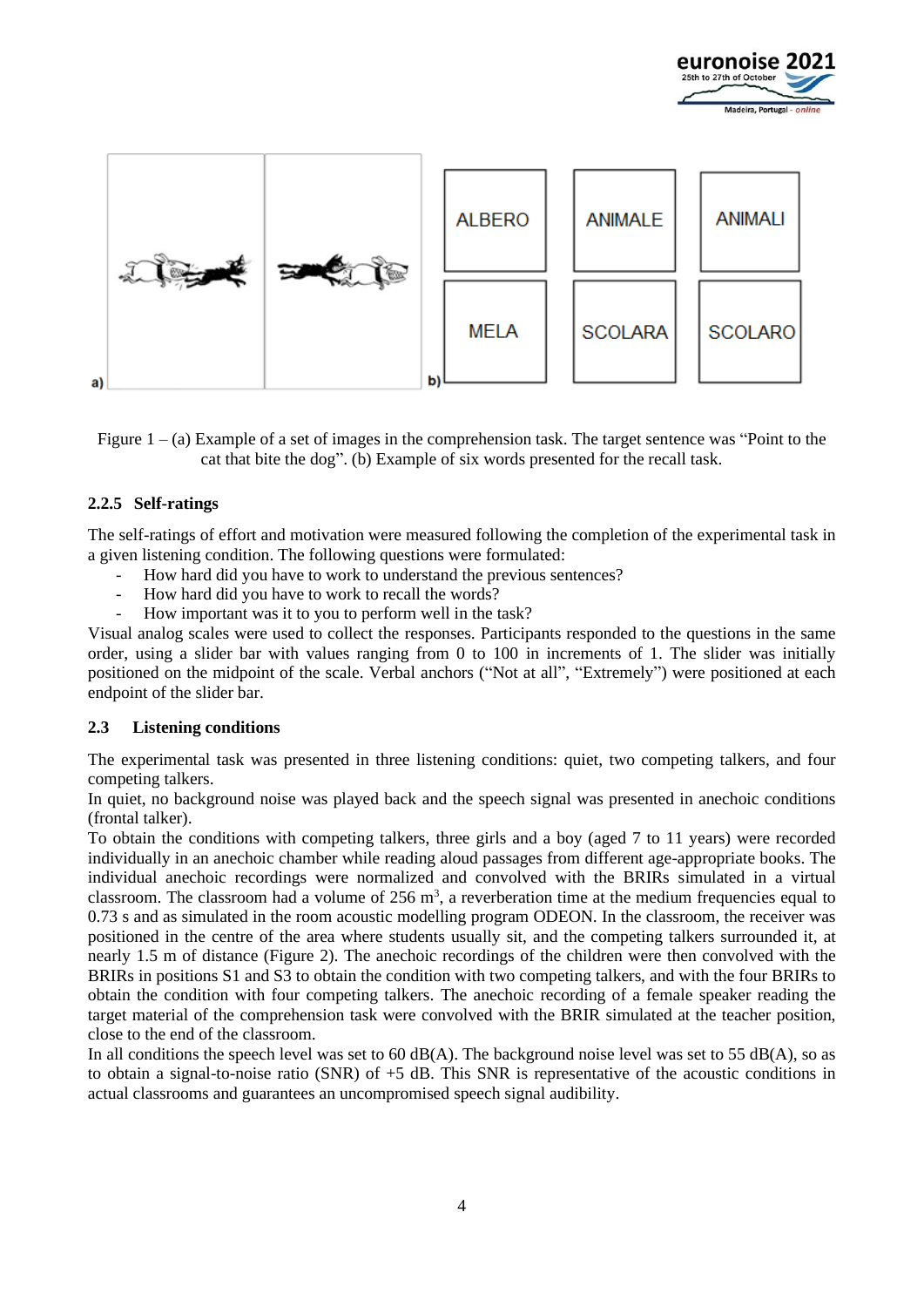





#### **2.2.5 Self-ratings**

The self-ratings of effort and motivation were measured following the completion of the experimental task in a given listening condition. The following questions were formulated:

- How hard did you have to work to understand the previous sentences?
- How hard did you have to work to recall the words?
- How important was it to you to perform well in the task?

Visual analog scales were used to collect the responses. Participants responded to the questions in the same order, using a slider bar with values ranging from 0 to 100 in increments of 1. The slider was initially positioned on the midpoint of the scale. Verbal anchors ("Not at all", "Extremely") were positioned at each endpoint of the slider bar.

#### **2.3 Listening conditions**

The experimental task was presented in three listening conditions: quiet, two competing talkers, and four competing talkers.

In quiet, no background noise was played back and the speech signal was presented in anechoic conditions (frontal talker).

To obtain the conditions with competing talkers, three girls and a boy (aged 7 to 11 years) were recorded individually in an anechoic chamber while reading aloud passages from different age-appropriate books. The individual anechoic recordings were normalized and convolved with the BRIRs simulated in a virtual classroom. The classroom had a volume of  $256 \text{ m}^3$ , a reverberation time at the medium frequencies equal to 0.73 s and as simulated in the room acoustic modelling program ODEON. In the classroom, the receiver was positioned in the centre of the area where students usually sit, and the competing talkers surrounded it, at nearly 1.5 m of distance (Figure 2). The anechoic recordings of the children were then convolved with the BRIRs in positions S1 and S3 to obtain the condition with two competing talkers, and with the four BRIRs to obtain the condition with four competing talkers. The anechoic recording of a female speaker reading the target material of the comprehension task were convolved with the BRIR simulated at the teacher position, close to the end of the classroom.

In all conditions the speech level was set to 60 dB(A). The background noise level was set to 55 dB(A), so as to obtain a signal-to-noise ratio (SNR) of +5 dB. This SNR is representative of the acoustic conditions in actual classrooms and guarantees an uncompromised speech signal audibility.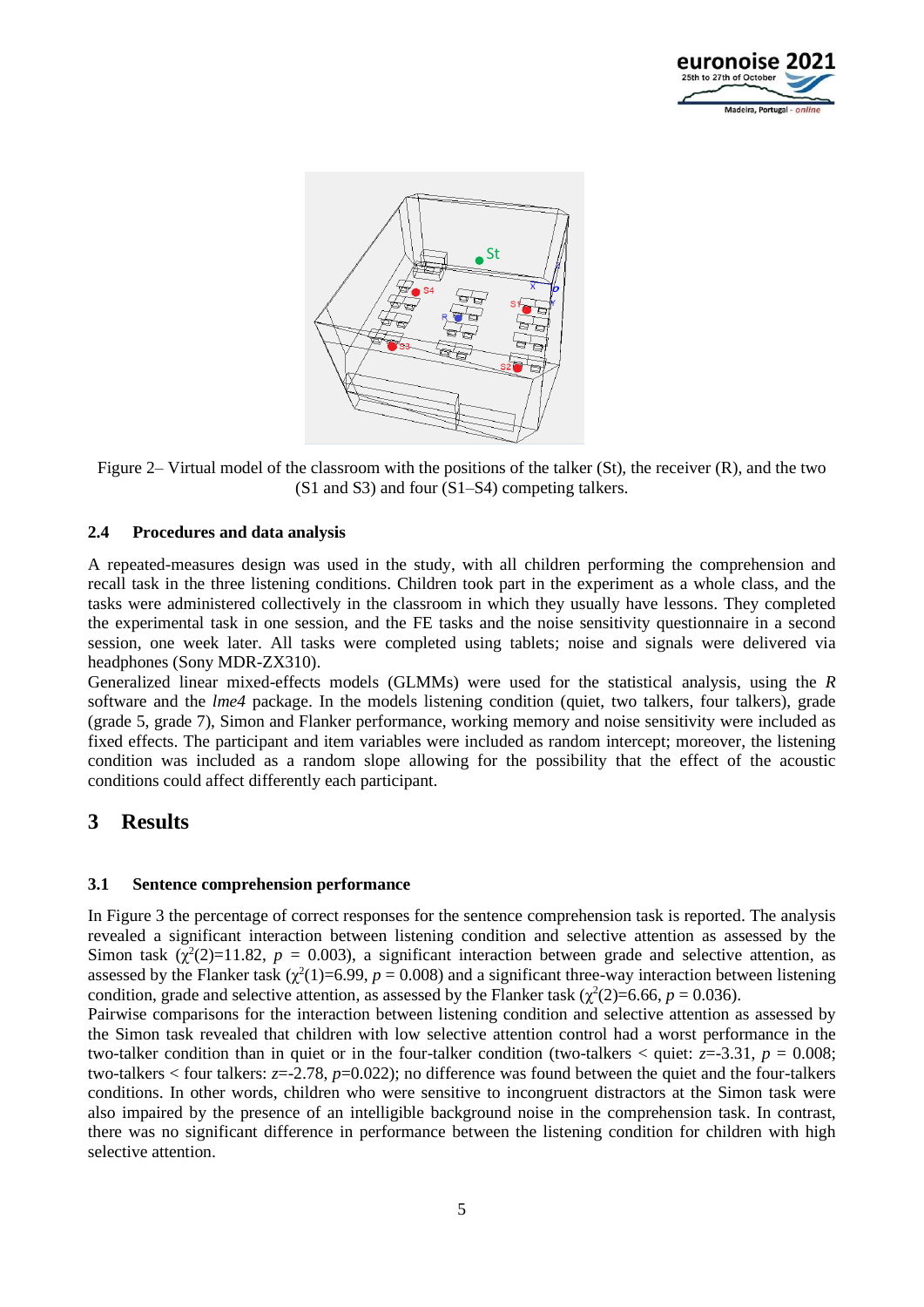



Figure 2– Virtual model of the classroom with the positions of the talker (St), the receiver (R), and the two (S1 and S3) and four (S1–S4) competing talkers.

#### **2.4 Procedures and data analysis**

A repeated-measures design was used in the study, with all children performing the comprehension and recall task in the three listening conditions. Children took part in the experiment as a whole class, and the tasks were administered collectively in the classroom in which they usually have lessons. They completed the experimental task in one session, and the FE tasks and the noise sensitivity questionnaire in a second session, one week later. All tasks were completed using tablets; noise and signals were delivered via headphones (Sony MDR-ZX310).

Generalized linear mixed-effects models (GLMMs) were used for the statistical analysis, using the *R* software and the *lme4* package. In the models listening condition (quiet, two talkers, four talkers), grade (grade 5, grade 7), Simon and Flanker performance, working memory and noise sensitivity were included as fixed effects. The participant and item variables were included as random intercept; moreover, the listening condition was included as a random slope allowing for the possibility that the effect of the acoustic conditions could affect differently each participant.

### **3 Results**

#### **3.1 Sentence comprehension performance**

In Figure 3 the percentage of correct responses for the sentence comprehension task is reported. The analysis revealed a significant interaction between listening condition and selective attention as assessed by the Simon task  $(\chi^2(2)=11.82, p = 0.003)$ , a significant interaction between grade and selective attention, as assessed by the Flanker task  $(\chi^2(1)=6.99, p=0.008)$  and a significant three-way interaction between listening condition, grade and selective attention, as assessed by the Flanker task ( $\chi^2(2)=6.66$ ,  $p = 0.036$ ).

Pairwise comparisons for the interaction between listening condition and selective attention as assessed by the Simon task revealed that children with low selective attention control had a worst performance in the two-talker condition than in quiet or in the four-talker condition (two-talkers  $\lt$  quiet:  $z=3.31$ ,  $p = 0.008$ ; two-talkers < four talkers: *z*=-2.78, *p*=0.022); no difference was found between the quiet and the four-talkers conditions. In other words, children who were sensitive to incongruent distractors at the Simon task were also impaired by the presence of an intelligible background noise in the comprehension task. In contrast, there was no significant difference in performance between the listening condition for children with high selective attention.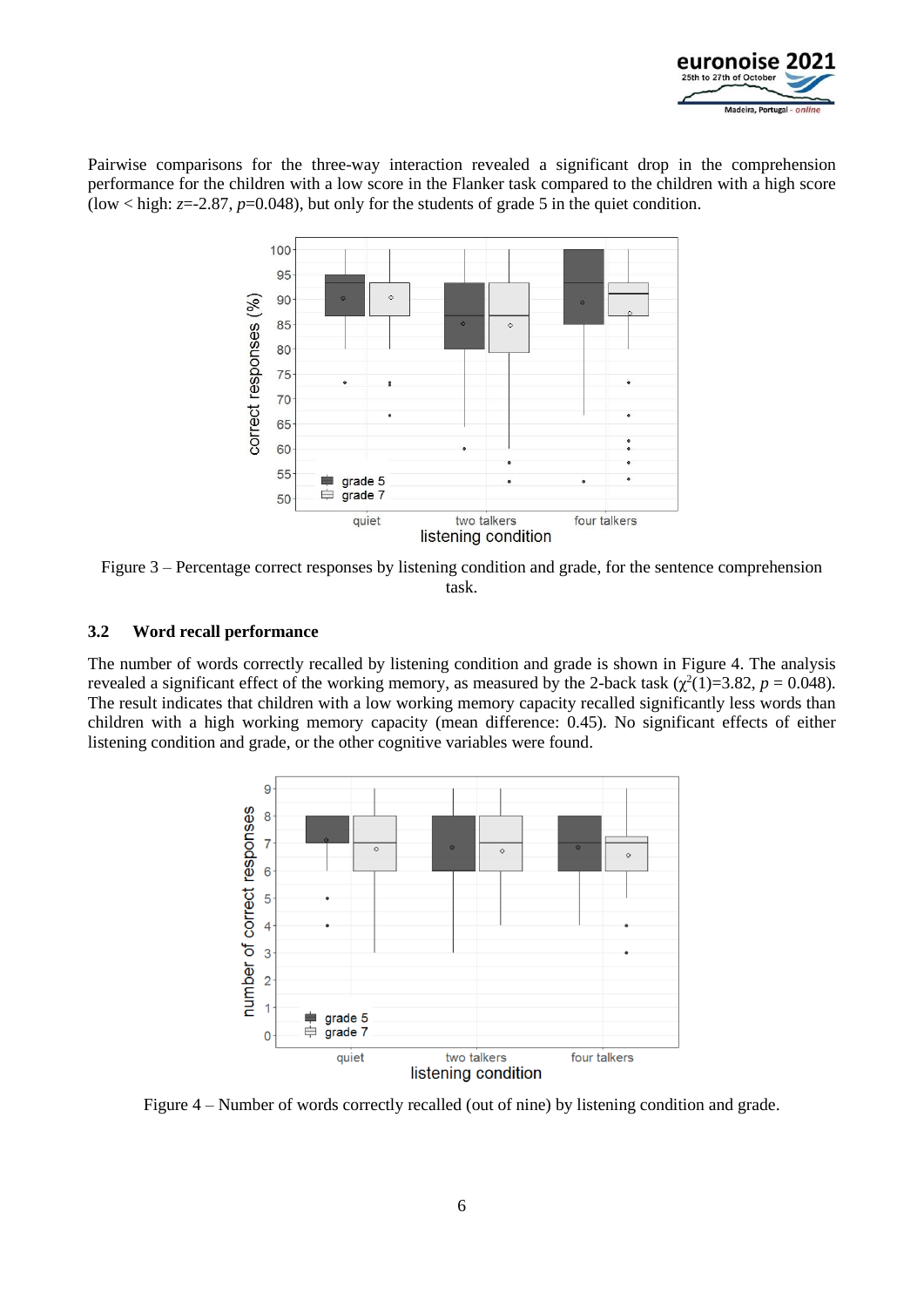

Pairwise comparisons for the three-way interaction revealed a significant drop in the comprehension performance for the children with a low score in the Flanker task compared to the children with a high score (low  $\langle$  high:  $z=2.87$ ,  $p=0.048$ ), but only for the students of grade 5 in the quiet condition.



Figure 3 – Percentage correct responses by listening condition and grade, for the sentence comprehension task.

#### **3.2 Word recall performance**

The number of words correctly recalled by listening condition and grade is shown in Figure 4. The analysis revealed a significant effect of the working memory, as measured by the 2-back task  $(\chi^2(1)=3.82, p=0.048)$ . The result indicates that children with a low working memory capacity recalled significantly less words than children with a high working memory capacity (mean difference: 0.45). No significant effects of either listening condition and grade, or the other cognitive variables were found.



Figure 4 – Number of words correctly recalled (out of nine) by listening condition and grade.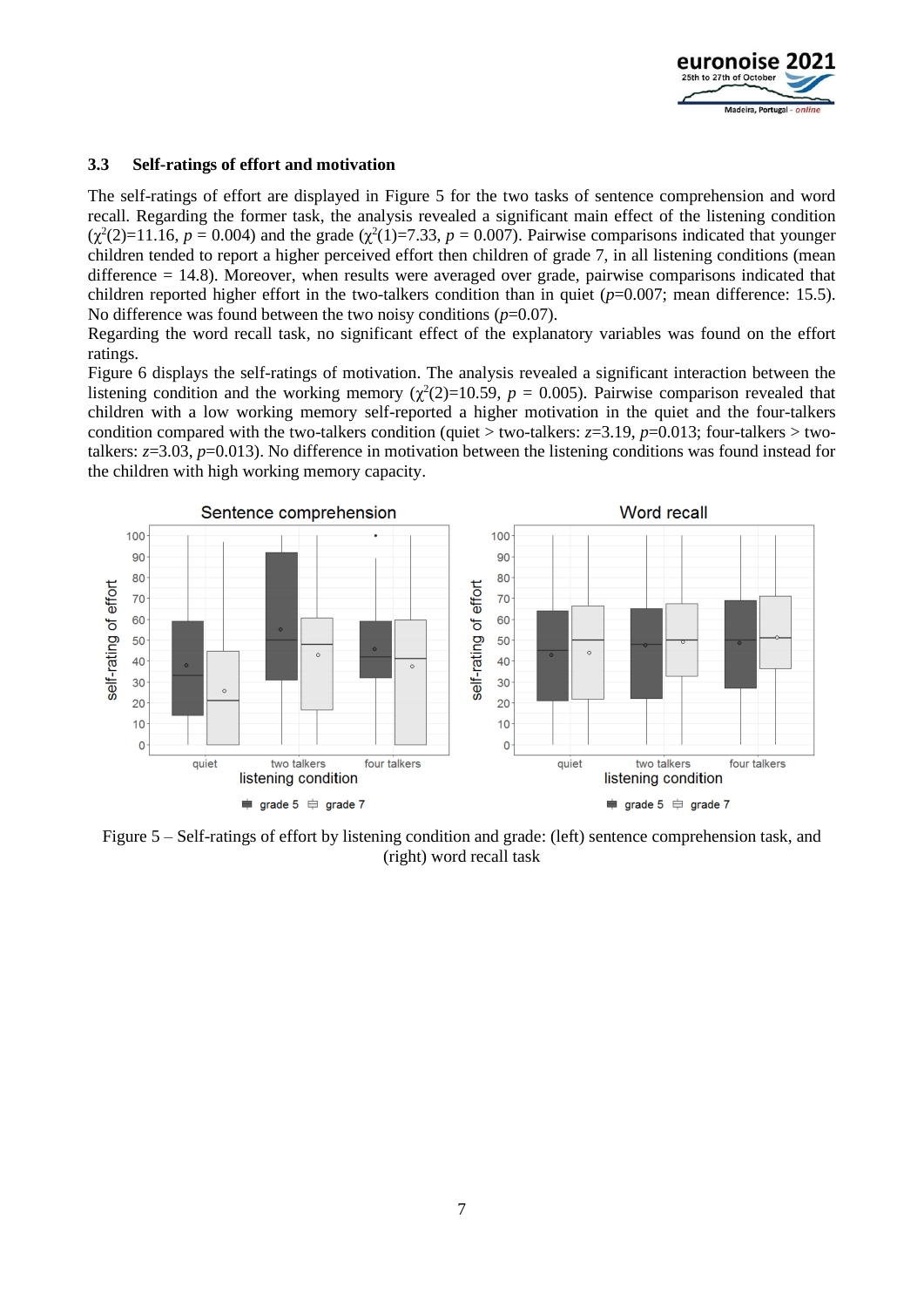

#### **3.3 Self-ratings of effort and motivation**

The self-ratings of effort are displayed in Figure 5 for the two tasks of sentence comprehension and word recall. Regarding the former task, the analysis revealed a significant main effect of the listening condition  $(\chi^2(2)=11.16, p = 0.004)$  and the grade  $(\chi^2(1)=7.33, p = 0.007)$ . Pairwise comparisons indicated that younger children tended to report a higher perceived effort then children of grade 7, in all listening conditions (mean difference = 14.8). Moreover, when results were averaged over grade, pairwise comparisons indicated that children reported higher effort in the two-talkers condition than in quiet (*p*=0.007; mean difference: 15.5). No difference was found between the two noisy conditions (*p*=0.07).

Regarding the word recall task, no significant effect of the explanatory variables was found on the effort ratings.

Figure 6 displays the self-ratings of motivation. The analysis revealed a significant interaction between the listening condition and the working memory ( $\chi^2(2)=10.59$ ,  $p = 0.005$ ). Pairwise comparison revealed that children with a low working memory self-reported a higher motivation in the quiet and the four-talkers condition compared with the two-talkers condition (quiet > two-talkers:  $z=3.19$ ,  $p=0.013$ ; four-talkers > twotalkers: *z*=3.03, *p*=0.013). No difference in motivation between the listening conditions was found instead for the children with high working memory capacity.



Figure 5 – Self-ratings of effort by listening condition and grade: (left) sentence comprehension task, and (right) word recall task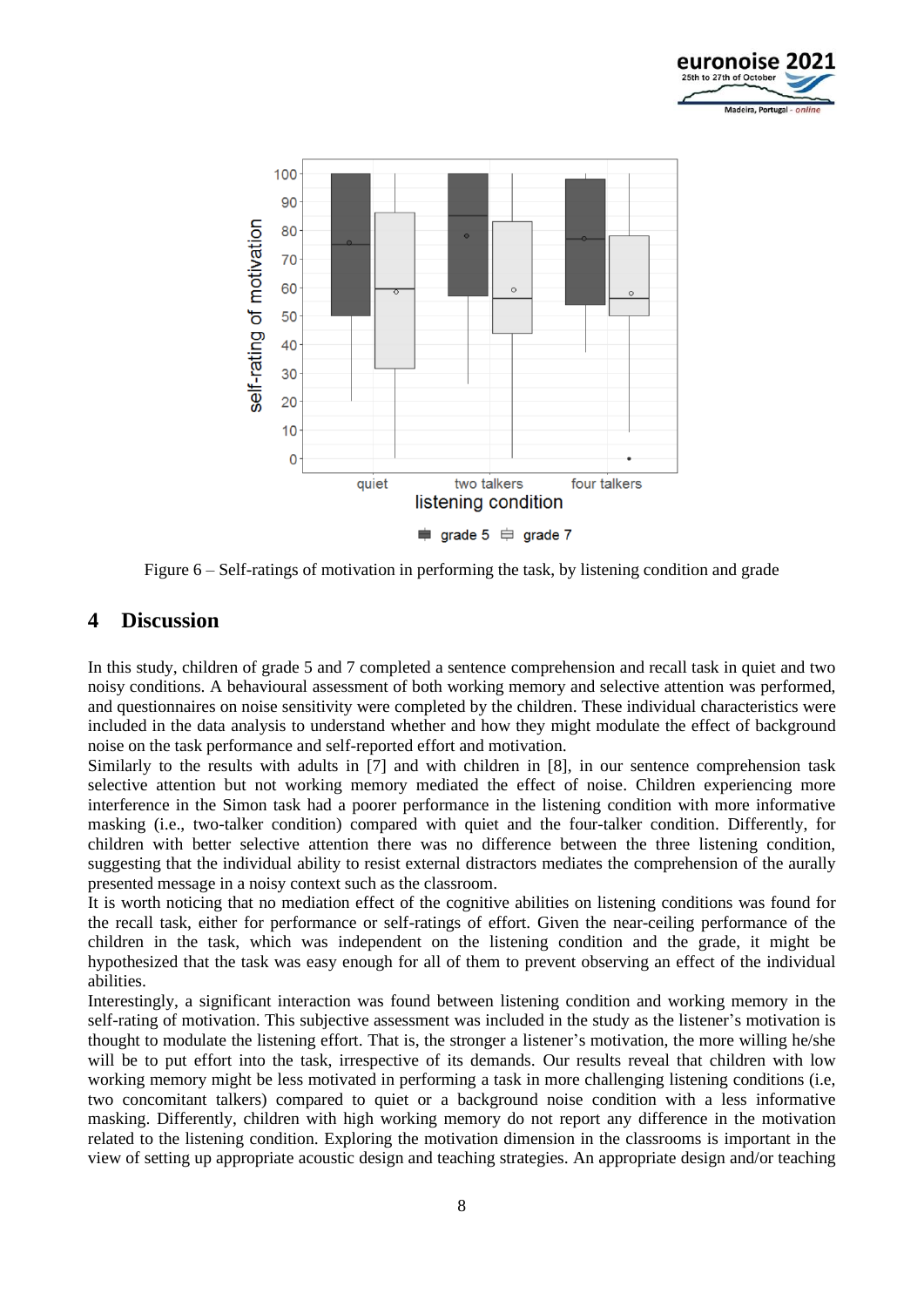



Figure 6 – Self-ratings of motivation in performing the task, by listening condition and grade

### **4 Discussion**

In this study, children of grade 5 and 7 completed a sentence comprehension and recall task in quiet and two noisy conditions. A behavioural assessment of both working memory and selective attention was performed, and questionnaires on noise sensitivity were completed by the children. These individual characteristics were included in the data analysis to understand whether and how they might modulate the effect of background noise on the task performance and self-reported effort and motivation.

Similarly to the results with adults in [7] and with children in [8], in our sentence comprehension task selective attention but not working memory mediated the effect of noise. Children experiencing more interference in the Simon task had a poorer performance in the listening condition with more informative masking (i.e., two-talker condition) compared with quiet and the four-talker condition. Differently, for children with better selective attention there was no difference between the three listening condition, suggesting that the individual ability to resist external distractors mediates the comprehension of the aurally presented message in a noisy context such as the classroom.

It is worth noticing that no mediation effect of the cognitive abilities on listening conditions was found for the recall task, either for performance or self-ratings of effort. Given the near-ceiling performance of the children in the task, which was independent on the listening condition and the grade, it might be hypothesized that the task was easy enough for all of them to prevent observing an effect of the individual abilities.

Interestingly, a significant interaction was found between listening condition and working memory in the self-rating of motivation. This subjective assessment was included in the study as the listener's motivation is thought to modulate the listening effort. That is, the stronger a listener's motivation, the more willing he/she will be to put effort into the task, irrespective of its demands. Our results reveal that children with low working memory might be less motivated in performing a task in more challenging listening conditions (i.e. two concomitant talkers) compared to quiet or a background noise condition with a less informative masking. Differently, children with high working memory do not report any difference in the motivation related to the listening condition. Exploring the motivation dimension in the classrooms is important in the view of setting up appropriate acoustic design and teaching strategies. An appropriate design and/or teaching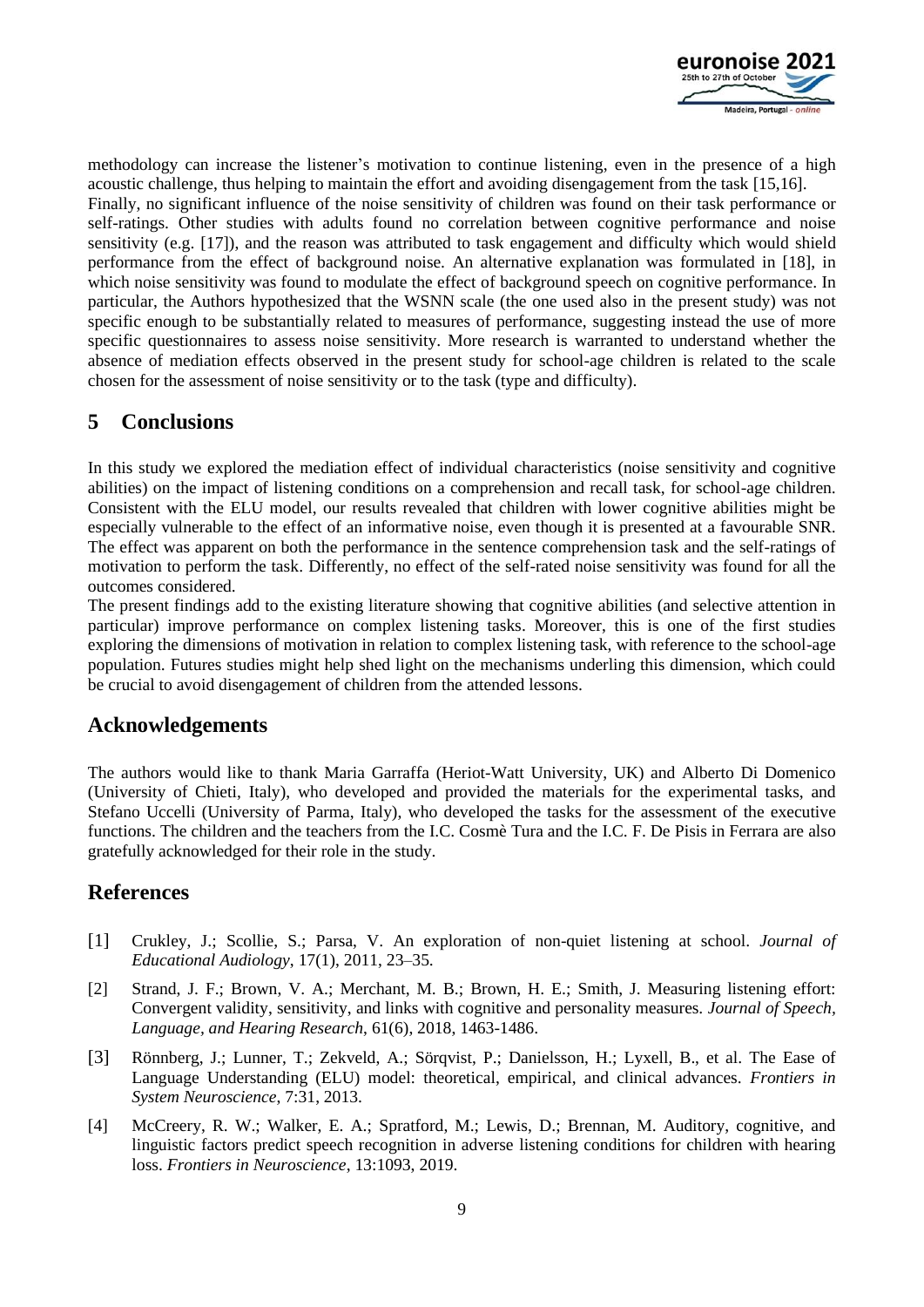

methodology can increase the listener's motivation to continue listening, even in the presence of a high acoustic challenge, thus helping to maintain the effort and avoiding disengagement from the task [15,16]. Finally, no significant influence of the noise sensitivity of children was found on their task performance or self-ratings. Other studies with adults found no correlation between cognitive performance and noise sensitivity (e.g. [17]), and the reason was attributed to task engagement and difficulty which would shield performance from the effect of background noise. An alternative explanation was formulated in [18], in which noise sensitivity was found to modulate the effect of background speech on cognitive performance. In particular, the Authors hypothesized that the WSNN scale (the one used also in the present study) was not specific enough to be substantially related to measures of performance, suggesting instead the use of more specific questionnaires to assess noise sensitivity. More research is warranted to understand whether the absence of mediation effects observed in the present study for school-age children is related to the scale chosen for the assessment of noise sensitivity or to the task (type and difficulty).

# **5 Conclusions**

In this study we explored the mediation effect of individual characteristics (noise sensitivity and cognitive abilities) on the impact of listening conditions on a comprehension and recall task, for school-age children. Consistent with the ELU model, our results revealed that children with lower cognitive abilities might be especially vulnerable to the effect of an informative noise, even though it is presented at a favourable SNR. The effect was apparent on both the performance in the sentence comprehension task and the self-ratings of motivation to perform the task. Differently, no effect of the self-rated noise sensitivity was found for all the outcomes considered.

The present findings add to the existing literature showing that cognitive abilities (and selective attention in particular) improve performance on complex listening tasks. Moreover, this is one of the first studies exploring the dimensions of motivation in relation to complex listening task, with reference to the school-age population. Futures studies might help shed light on the mechanisms underling this dimension, which could be crucial to avoid disengagement of children from the attended lessons.

## **Acknowledgements**

The authors would like to thank Maria Garraffa (Heriot-Watt University, UK) and Alberto Di Domenico (University of Chieti, Italy), who developed and provided the materials for the experimental tasks, and Stefano Uccelli (University of Parma, Italy), who developed the tasks for the assessment of the executive functions. The children and the teachers from the I.C. Cosmè Tura and the I.C. F. De Pisis in Ferrara are also gratefully acknowledged for their role in the study.

# **References**

- [1] Crukley, J.; Scollie, S.; Parsa, V. An exploration of non-quiet listening at school. *Journal of Educational Audiology*, 17(1), 2011, 23–35.
- [2] Strand, J. F.; Brown, V. A.; Merchant, M. B.; Brown, H. E.; Smith, J. Measuring listening effort: Convergent validity, sensitivity, and links with cognitive and personality measures. *Journal of Speech, Language, and Hearing Research*, 61(6), 2018, 1463-1486.
- [3] Rönnberg, J.; Lunner, T.; Zekveld, A.; Sörqvist, P.; Danielsson, H.; Lyxell, B., et al. The Ease of Language Understanding (ELU) model: theoretical, empirical, and clinical advances. *Frontiers in System Neuroscience*, 7:31, 2013.
- [4] McCreery, R. W.; Walker, E. A.; Spratford, M.; Lewis, D.; Brennan, M. Auditory, cognitive, and linguistic factors predict speech recognition in adverse listening conditions for children with hearing loss. *Frontiers in Neuroscience*, 13:1093, 2019.